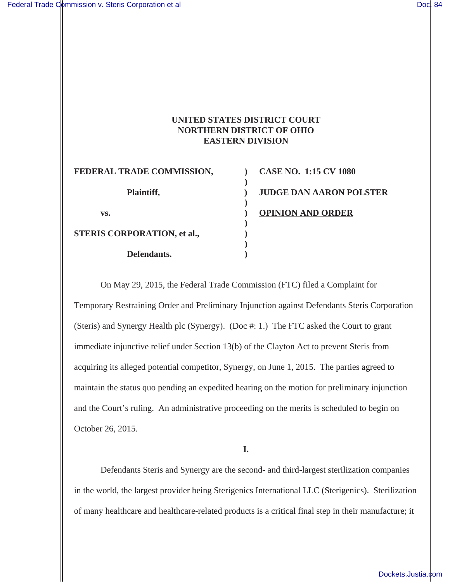# **UNITED STATES DISTRICT COURT NORTHERN DISTRICT OF OHIO EASTERN DIVISION**

**)**

**)**

**)**

**)**

**FEDERAL TRADE COMMISSION, ) CASE NO. 1:15 CV 1080**

**STERIS CORPORATION, et al., )**

**Defendants. )**

**Plaintiff, ) JUDGE DAN AARON POLSTER vs. ) OPINION AND ORDER**

On May 29, 2015, the Federal Trade Commission (FTC) filed a Complaint for Temporary Restraining Order and Preliminary Injunction against Defendants Steris Corporation (Steris) and Synergy Health plc (Synergy). (Doc #: 1.) The FTC asked the Court to grant immediate injunctive relief under Section 13(b) of the Clayton Act to prevent Steris from acquiring its alleged potential competitor, Synergy, on June 1, 2015. The parties agreed to maintain the status quo pending an expedited hearing on the motion for preliminary injunction and the Court's ruling. An administrative proceeding on the merits is scheduled to begin on October 26, 2015.

**I.**

Defendants Steris and Synergy are the second- and third-largest sterilization companies in the world, the largest provider being Sterigenics International LLC (Sterigenics). Sterilization of many healthcare and healthcare-related products is a critical final step in their manufacture; it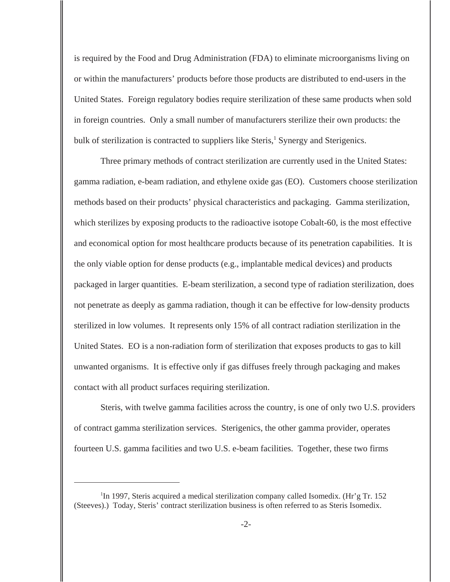is required by the Food and Drug Administration (FDA) to eliminate microorganisms living on or within the manufacturers' products before those products are distributed to end-users in the United States. Foreign regulatory bodies require sterilization of these same products when sold in foreign countries. Only a small number of manufacturers sterilize their own products: the bulk of sterilization is contracted to suppliers like Steris,<sup>1</sup> Synergy and Sterigenics.

Three primary methods of contract sterilization are currently used in the United States: gamma radiation, e-beam radiation, and ethylene oxide gas (EO). Customers choose sterilization methods based on their products' physical characteristics and packaging. Gamma sterilization, which sterilizes by exposing products to the radioactive isotope Cobalt-60, is the most effective and economical option for most healthcare products because of its penetration capabilities. It is the only viable option for dense products (e.g., implantable medical devices) and products packaged in larger quantities. E-beam sterilization, a second type of radiation sterilization, does not penetrate as deeply as gamma radiation, though it can be effective for low-density products sterilized in low volumes. It represents only 15% of all contract radiation sterilization in the United States. EO is a non-radiation form of sterilization that exposes products to gas to kill unwanted organisms. It is effective only if gas diffuses freely through packaging and makes contact with all product surfaces requiring sterilization.

Steris, with twelve gamma facilities across the country, is one of only two U.S. providers of contract gamma sterilization services. Sterigenics, the other gamma provider, operates fourteen U.S. gamma facilities and two U.S. e-beam facilities. Together, these two firms

<sup>&</sup>lt;sup>1</sup>In 1997, Steris acquired a medical sterilization company called Isomedix. (Hr'g Tr. 152 (Steeves).) Today, Steris' contract sterilization business is often referred to as Steris Isomedix.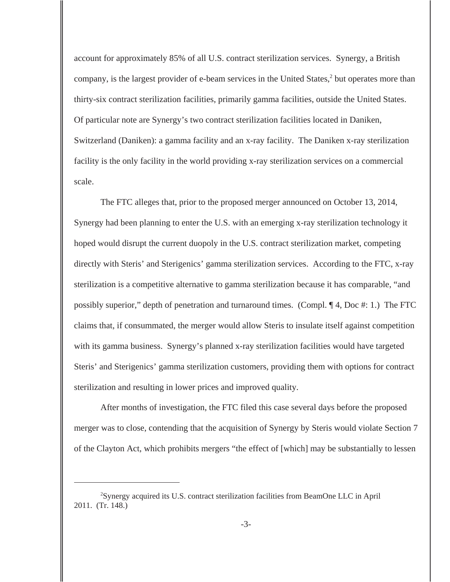account for approximately 85% of all U.S. contract sterilization services. Synergy, a British company, is the largest provider of e-beam services in the United States,<sup>2</sup> but operates more than thirty-six contract sterilization facilities, primarily gamma facilities, outside the United States. Of particular note are Synergy's two contract sterilization facilities located in Daniken, Switzerland (Daniken): a gamma facility and an x-ray facility. The Daniken x-ray sterilization facility is the only facility in the world providing x-ray sterilization services on a commercial scale.

 The FTC alleges that, prior to the proposed merger announced on October 13, 2014, Synergy had been planning to enter the U.S. with an emerging x-ray sterilization technology it hoped would disrupt the current duopoly in the U.S. contract sterilization market, competing directly with Steris' and Sterigenics' gamma sterilization services. According to the FTC, x-ray sterilization is a competitive alternative to gamma sterilization because it has comparable, "and possibly superior," depth of penetration and turnaround times. (Compl. ¶ 4, Doc #: 1.) The FTC claims that, if consummated, the merger would allow Steris to insulate itself against competition with its gamma business. Synergy's planned x-ray sterilization facilities would have targeted Steris' and Sterigenics' gamma sterilization customers, providing them with options for contract sterilization and resulting in lower prices and improved quality.

After months of investigation, the FTC filed this case several days before the proposed merger was to close, contending that the acquisition of Synergy by Steris would violate Section 7 of the Clayton Act, which prohibits mergers "the effect of [which] may be substantially to lessen

<sup>2</sup>Synergy acquired its U.S. contract sterilization facilities from BeamOne LLC in April 2011. (Tr. 148.)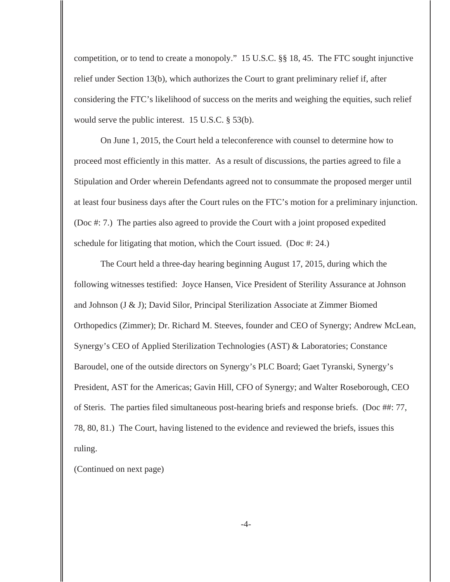competition, or to tend to create a monopoly." 15 U.S.C. §§ 18, 45. The FTC sought injunctive relief under Section 13(b), which authorizes the Court to grant preliminary relief if, after considering the FTC's likelihood of success on the merits and weighing the equities, such relief would serve the public interest. 15 U.S.C. § 53(b).

On June 1, 2015, the Court held a teleconference with counsel to determine how to proceed most efficiently in this matter. As a result of discussions, the parties agreed to file a Stipulation and Order wherein Defendants agreed not to consummate the proposed merger until at least four business days after the Court rules on the FTC's motion for a preliminary injunction. (Doc #: 7.) The parties also agreed to provide the Court with a joint proposed expedited schedule for litigating that motion, which the Court issued. (Doc #: 24.)

The Court held a three-day hearing beginning August 17, 2015, during which the following witnesses testified: Joyce Hansen, Vice President of Sterility Assurance at Johnson and Johnson (J & J); David Silor, Principal Sterilization Associate at Zimmer Biomed Orthopedics (Zimmer); Dr. Richard M. Steeves, founder and CEO of Synergy; Andrew McLean, Synergy's CEO of Applied Sterilization Technologies (AST) & Laboratories; Constance Baroudel, one of the outside directors on Synergy's PLC Board; Gaet Tyranski, Synergy's President, AST for the Americas; Gavin Hill, CFO of Synergy; and Walter Roseborough, CEO of Steris. The parties filed simultaneous post-hearing briefs and response briefs. (Doc ##: 77, 78, 80, 81.) The Court, having listened to the evidence and reviewed the briefs, issues this ruling.

(Continued on next page)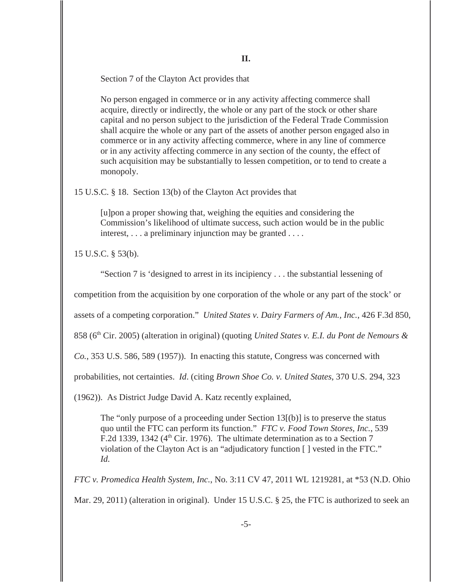Section 7 of the Clayton Act provides that

No person engaged in commerce or in any activity affecting commerce shall acquire, directly or indirectly, the whole or any part of the stock or other share capital and no person subject to the jurisdiction of the Federal Trade Commission shall acquire the whole or any part of the assets of another person engaged also in commerce or in any activity affecting commerce, where in any line of commerce or in any activity affecting commerce in any section of the county, the effect of such acquisition may be substantially to lessen competition, or to tend to create a monopoly.

15 U.S.C. § 18. Section 13(b) of the Clayton Act provides that

[u]pon a proper showing that, weighing the equities and considering the Commission's likelihood of ultimate success, such action would be in the public interest, . . . a preliminary injunction may be granted . . . .

15 U.S.C. § 53(b).

"Section 7 is 'designed to arrest in its incipiency . . . the substantial lessening of

competition from the acquisition by one corporation of the whole or any part of the stock' or

assets of a competing corporation." *United States v. Dairy Farmers of Am., Inc.*, 426 F.3d 850,

858 (6th Cir. 2005) (alteration in original) (quoting *United States v. E.I. du Pont de Nemours &*

*Co.*, 353 U.S. 586, 589 (1957)). In enacting this statute, Congress was concerned with

probabilities, not certainties. *Id*. (citing *Brown Shoe Co. v. United States*, 370 U.S. 294, 323

(1962)). As District Judge David A. Katz recently explained,

The "only purpose of a proceeding under Section  $13[(b)]$  is to preserve the status quo until the FTC can perform its function." *FTC v. Food Town Stores, Inc.*, 539 F.2d 1339, 1342 ( $4<sup>th</sup>$  Cir. 1976). The ultimate determination as to a Section 7 violation of the Clayton Act is an "adjudicatory function [ ] vested in the FTC." *Id.*

*FTC v. Promedica Health System, Inc.*, No. 3:11 CV 47, 2011 WL 1219281, at \*53 (N.D. Ohio Mar. 29, 2011) (alteration in original). Under 15 U.S.C. § 25, the FTC is authorized to seek an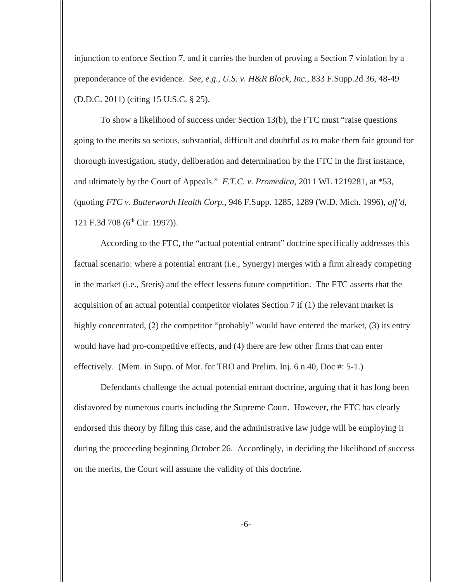injunction to enforce Section 7, and it carries the burden of proving a Section 7 violation by a preponderance of the evidence. *See, e.g.*, *U.S. v. H&R Block, Inc.*, 833 F.Supp.2d 36, 48-49 (D.D.C. 2011) (citing 15 U.S.C. § 25).

To show a likelihood of success under Section 13(b), the FTC must "raise questions going to the merits so serious, substantial, difficult and doubtful as to make them fair ground for thorough investigation, study, deliberation and determination by the FTC in the first instance, and ultimately by the Court of Appeals." *F.T.C. v. Promedica*, 2011 WL 1219281, at \*53, (quoting *FTC v. Butterworth Health Corp.*, 946 F.Supp. 1285, 1289 (W.D. Mich. 1996), *aff'd*, 121 F.3d 708 (6<sup>th</sup> Cir. 1997)).

According to the FTC, the "actual potential entrant" doctrine specifically addresses this factual scenario: where a potential entrant (i.e., Synergy) merges with a firm already competing in the market (i.e., Steris) and the effect lessens future competition. The FTC asserts that the acquisition of an actual potential competitor violates Section 7 if (1) the relevant market is highly concentrated, (2) the competitor "probably" would have entered the market, (3) its entry would have had pro-competitive effects, and (4) there are few other firms that can enter effectively. (Mem. in Supp. of Mot. for TRO and Prelim. Inj. 6 n.40, Doc #: 5-1.)

Defendants challenge the actual potential entrant doctrine, arguing that it has long been disfavored by numerous courts including the Supreme Court. However, the FTC has clearly endorsed this theory by filing this case, and the administrative law judge will be employing it during the proceeding beginning October 26. Accordingly, in deciding the likelihood of success on the merits, the Court will assume the validity of this doctrine.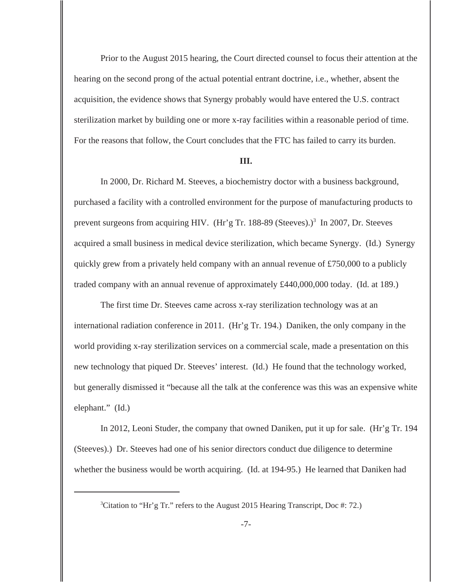Prior to the August 2015 hearing, the Court directed counsel to focus their attention at the hearing on the second prong of the actual potential entrant doctrine, i.e., whether, absent the acquisition, the evidence shows that Synergy probably would have entered the U.S. contract sterilization market by building one or more x-ray facilities within a reasonable period of time. For the reasons that follow, the Court concludes that the FTC has failed to carry its burden.

#### **III.**

In 2000, Dr. Richard M. Steeves, a biochemistry doctor with a business background, purchased a facility with a controlled environment for the purpose of manufacturing products to prevent surgeons from acquiring HIV. (Hr'g Tr. 188-89 (Steeves).)<sup>3</sup> In 2007, Dr. Steeves acquired a small business in medical device sterilization, which became Synergy. (Id.) Synergy quickly grew from a privately held company with an annual revenue of £750,000 to a publicly traded company with an annual revenue of approximately £440,000,000 today. (Id. at 189.)

The first time Dr. Steeves came across x-ray sterilization technology was at an international radiation conference in 2011. (Hr'g Tr. 194.) Daniken, the only company in the world providing x-ray sterilization services on a commercial scale, made a presentation on this new technology that piqued Dr. Steeves' interest. (Id.) He found that the technology worked, but generally dismissed it "because all the talk at the conference was this was an expensive white elephant." (Id.)

In 2012, Leoni Studer, the company that owned Daniken, put it up for sale. (Hr'g Tr. 194 (Steeves).) Dr. Steeves had one of his senior directors conduct due diligence to determine whether the business would be worth acquiring. (Id. at 194-95.) He learned that Daniken had

<sup>&</sup>lt;sup>3</sup>Citation to "Hr'g Tr." refers to the August 2015 Hearing Transcript, Doc #: 72.)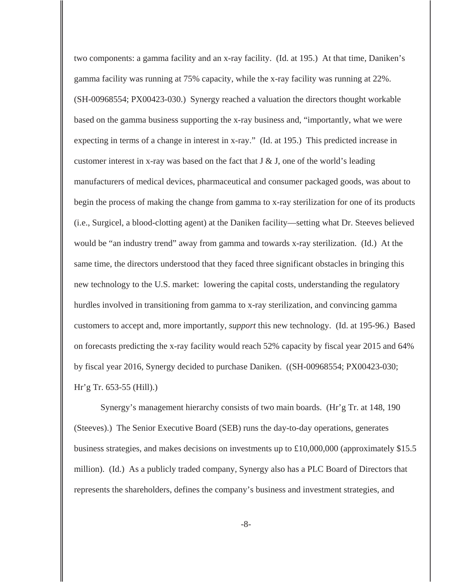two components: a gamma facility and an x-ray facility. (Id. at 195.) At that time, Daniken's gamma facility was running at 75% capacity, while the x-ray facility was running at 22%. (SH-00968554; PX00423-030.) Synergy reached a valuation the directors thought workable based on the gamma business supporting the x-ray business and, "importantly, what we were expecting in terms of a change in interest in x-ray." (Id. at 195.) This predicted increase in customer interest in x-ray was based on the fact that  $J \& J$ , one of the world's leading manufacturers of medical devices, pharmaceutical and consumer packaged goods, was about to begin the process of making the change from gamma to x-ray sterilization for one of its products (i.e., Surgicel, a blood-clotting agent) at the Daniken facility—setting what Dr. Steeves believed would be "an industry trend" away from gamma and towards x-ray sterilization. (Id.) At the same time, the directors understood that they faced three significant obstacles in bringing this new technology to the U.S. market: lowering the capital costs, understanding the regulatory hurdles involved in transitioning from gamma to x-ray sterilization, and convincing gamma customers to accept and, more importantly, *support* this new technology. (Id. at 195-96.) Based on forecasts predicting the x-ray facility would reach 52% capacity by fiscal year 2015 and 64% by fiscal year 2016, Synergy decided to purchase Daniken. ((SH-00968554; PX00423-030; Hr'g Tr. 653-55 (Hill).)

Synergy's management hierarchy consists of two main boards. (Hr'g Tr. at 148, 190 (Steeves).) The Senior Executive Board (SEB) runs the day-to-day operations, generates business strategies, and makes decisions on investments up to £10,000,000 (approximately \$15.5 million). (Id.) As a publicly traded company, Synergy also has a PLC Board of Directors that represents the shareholders, defines the company's business and investment strategies, and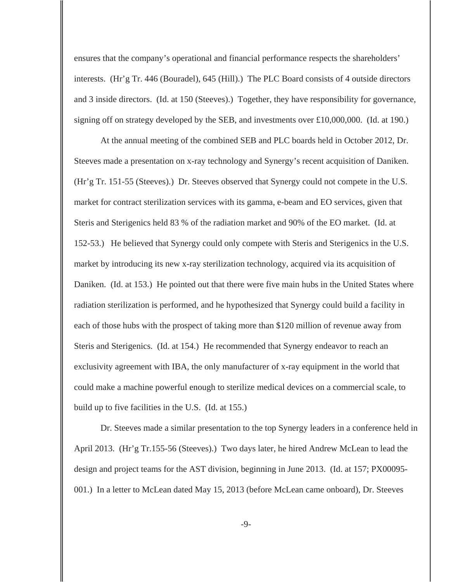ensures that the company's operational and financial performance respects the shareholders' interests. (Hr'g Tr. 446 (Bouradel), 645 (Hill).) The PLC Board consists of 4 outside directors and 3 inside directors. (Id. at 150 (Steeves).) Together, they have responsibility for governance, signing off on strategy developed by the SEB, and investments over £10,000,000. (Id. at 190.)

At the annual meeting of the combined SEB and PLC boards held in October 2012, Dr. Steeves made a presentation on x-ray technology and Synergy's recent acquisition of Daniken. (Hr'g Tr. 151-55 (Steeves).) Dr. Steeves observed that Synergy could not compete in the U.S. market for contract sterilization services with its gamma, e-beam and EO services, given that Steris and Sterigenics held 83 % of the radiation market and 90% of the EO market. (Id. at 152-53.) He believed that Synergy could only compete with Steris and Sterigenics in the U.S. market by introducing its new x-ray sterilization technology, acquired via its acquisition of Daniken. (Id. at 153.) He pointed out that there were five main hubs in the United States where radiation sterilization is performed, and he hypothesized that Synergy could build a facility in each of those hubs with the prospect of taking more than \$120 million of revenue away from Steris and Sterigenics. (Id. at 154.) He recommended that Synergy endeavor to reach an exclusivity agreement with IBA, the only manufacturer of x-ray equipment in the world that could make a machine powerful enough to sterilize medical devices on a commercial scale, to build up to five facilities in the U.S. (Id. at 155.)

Dr. Steeves made a similar presentation to the top Synergy leaders in a conference held in April 2013. (Hr'g Tr.155-56 (Steeves).) Two days later, he hired Andrew McLean to lead the design and project teams for the AST division, beginning in June 2013. (Id. at 157; PX00095- 001.) In a letter to McLean dated May 15, 2013 (before McLean came onboard), Dr. Steeves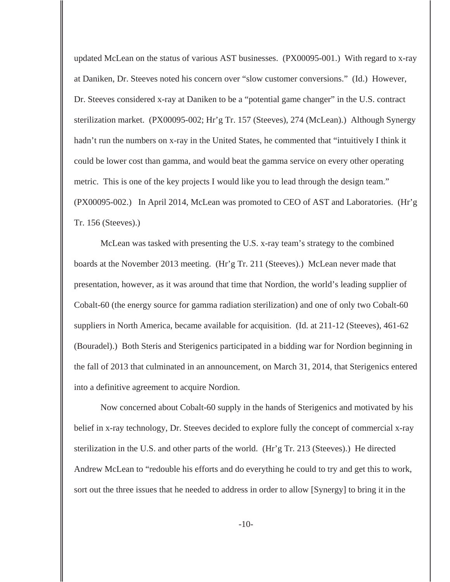updated McLean on the status of various AST businesses. (PX00095-001.) With regard to x-ray at Daniken, Dr. Steeves noted his concern over "slow customer conversions." (Id.) However, Dr. Steeves considered x-ray at Daniken to be a "potential game changer" in the U.S. contract sterilization market. (PX00095-002; Hr'g Tr. 157 (Steeves), 274 (McLean).) Although Synergy hadn't run the numbers on x-ray in the United States, he commented that "intuitively I think it could be lower cost than gamma, and would beat the gamma service on every other operating metric. This is one of the key projects I would like you to lead through the design team." (PX00095-002.) In April 2014, McLean was promoted to CEO of AST and Laboratories. (Hr'g Tr. 156 (Steeves).)

McLean was tasked with presenting the U.S. x-ray team's strategy to the combined boards at the November 2013 meeting. (Hr'g Tr. 211 (Steeves).) McLean never made that presentation, however, as it was around that time that Nordion, the world's leading supplier of Cobalt-60 (the energy source for gamma radiation sterilization) and one of only two Cobalt-60 suppliers in North America, became available for acquisition. (Id. at 211-12 (Steeves), 461-62 (Bouradel).) Both Steris and Sterigenics participated in a bidding war for Nordion beginning in the fall of 2013 that culminated in an announcement, on March 31, 2014, that Sterigenics entered into a definitive agreement to acquire Nordion.

Now concerned about Cobalt-60 supply in the hands of Sterigenics and motivated by his belief in x-ray technology, Dr. Steeves decided to explore fully the concept of commercial x-ray sterilization in the U.S. and other parts of the world. (Hr'g Tr. 213 (Steeves).) He directed Andrew McLean to "redouble his efforts and do everything he could to try and get this to work, sort out the three issues that he needed to address in order to allow [Synergy] to bring it in the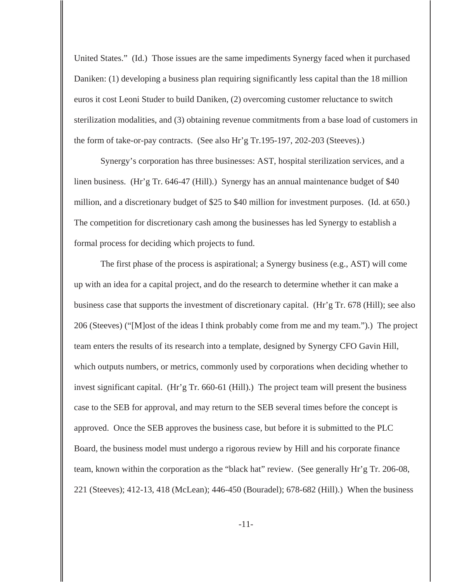United States." (Id.) Those issues are the same impediments Synergy faced when it purchased Daniken: (1) developing a business plan requiring significantly less capital than the 18 million euros it cost Leoni Studer to build Daniken, (2) overcoming customer reluctance to switch sterilization modalities, and (3) obtaining revenue commitments from a base load of customers in the form of take-or-pay contracts. (See also Hr'g Tr.195-197, 202-203 (Steeves).)

Synergy's corporation has three businesses: AST, hospital sterilization services, and a linen business. (Hr'g Tr. 646-47 (Hill).) Synergy has an annual maintenance budget of \$40 million, and a discretionary budget of \$25 to \$40 million for investment purposes. (Id. at 650.) The competition for discretionary cash among the businesses has led Synergy to establish a formal process for deciding which projects to fund.

The first phase of the process is aspirational; a Synergy business (e.g., AST) will come up with an idea for a capital project, and do the research to determine whether it can make a business case that supports the investment of discretionary capital. (Hr'g Tr. 678 (Hill); see also 206 (Steeves) ("[M]ost of the ideas I think probably come from me and my team.").) The project team enters the results of its research into a template, designed by Synergy CFO Gavin Hill, which outputs numbers, or metrics, commonly used by corporations when deciding whether to invest significant capital. (Hr'g Tr. 660-61 (Hill).) The project team will present the business case to the SEB for approval, and may return to the SEB several times before the concept is approved. Once the SEB approves the business case, but before it is submitted to the PLC Board, the business model must undergo a rigorous review by Hill and his corporate finance team, known within the corporation as the "black hat" review. (See generally Hr'g Tr. 206-08, 221 (Steeves); 412-13, 418 (McLean); 446-450 (Bouradel); 678-682 (Hill).) When the business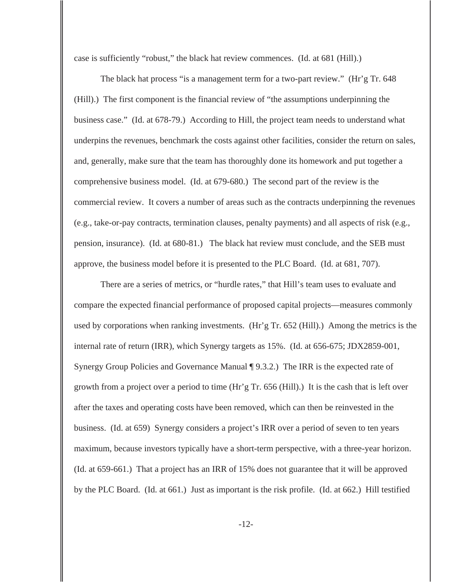case is sufficiently "robust," the black hat review commences. (Id. at 681 (Hill).)

The black hat process "is a management term for a two-part review." (Hr'g Tr. 648 (Hill).) The first component is the financial review of "the assumptions underpinning the business case." (Id. at 678-79.) According to Hill, the project team needs to understand what underpins the revenues, benchmark the costs against other facilities, consider the return on sales, and, generally, make sure that the team has thoroughly done its homework and put together a comprehensive business model. (Id. at 679-680.) The second part of the review is the commercial review. It covers a number of areas such as the contracts underpinning the revenues (e.g., take-or-pay contracts, termination clauses, penalty payments) and all aspects of risk (e.g., pension, insurance). (Id. at 680-81.) The black hat review must conclude, and the SEB must approve, the business model before it is presented to the PLC Board. (Id. at 681, 707).

There are a series of metrics, or "hurdle rates," that Hill's team uses to evaluate and compare the expected financial performance of proposed capital projects—measures commonly used by corporations when ranking investments. (Hr'g Tr. 652 (Hill).) Among the metrics is the internal rate of return (IRR), which Synergy targets as 15%. (Id. at 656-675; JDX2859-001, Synergy Group Policies and Governance Manual ¶ 9.3.2.) The IRR is the expected rate of growth from a project over a period to time (Hr'g Tr. 656 (Hill).) It is the cash that is left over after the taxes and operating costs have been removed, which can then be reinvested in the business. (Id. at 659) Synergy considers a project's IRR over a period of seven to ten years maximum, because investors typically have a short-term perspective, with a three-year horizon. (Id. at 659-661.) That a project has an IRR of 15% does not guarantee that it will be approved by the PLC Board. (Id. at 661.) Just as important is the risk profile. (Id. at 662.) Hill testified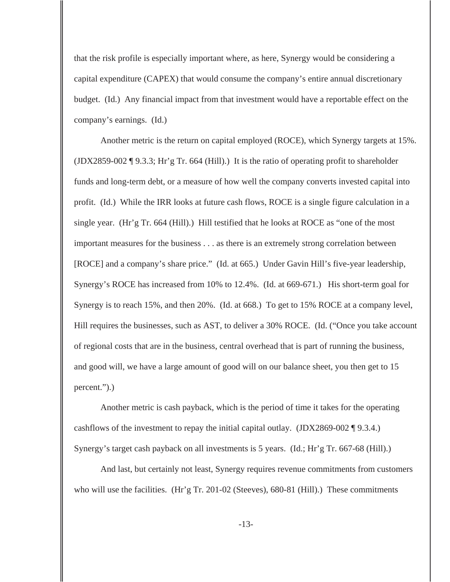that the risk profile is especially important where, as here, Synergy would be considering a capital expenditure (CAPEX) that would consume the company's entire annual discretionary budget. (Id.) Any financial impact from that investment would have a reportable effect on the company's earnings. (Id.)

Another metric is the return on capital employed (ROCE), which Synergy targets at 15%. (JDX2859-002 ¶ 9.3.3; Hr'g Tr. 664 (Hill).) It is the ratio of operating profit to shareholder funds and long-term debt, or a measure of how well the company converts invested capital into profit. (Id.) While the IRR looks at future cash flows, ROCE is a single figure calculation in a single year. (Hr'g Tr. 664 (Hill).) Hill testified that he looks at ROCE as "one of the most important measures for the business . . . as there is an extremely strong correlation between [ROCE] and a company's share price." (Id. at 665.) Under Gavin Hill's five-year leadership, Synergy's ROCE has increased from 10% to 12.4%. (Id. at 669-671.) His short-term goal for Synergy is to reach 15%, and then 20%. (Id. at 668.) To get to 15% ROCE at a company level, Hill requires the businesses, such as AST, to deliver a 30% ROCE. (Id. ("Once you take account of regional costs that are in the business, central overhead that is part of running the business, and good will, we have a large amount of good will on our balance sheet, you then get to 15 percent.").)

Another metric is cash payback, which is the period of time it takes for the operating cashflows of the investment to repay the initial capital outlay. (JDX2869-002 ¶ 9.3.4.) Synergy's target cash payback on all investments is 5 years. (Id.; Hr'g Tr. 667-68 (Hill).)

And last, but certainly not least, Synergy requires revenue commitments from customers who will use the facilities. (Hr'g Tr. 201-02 (Steeves), 680-81 (Hill).) These commitments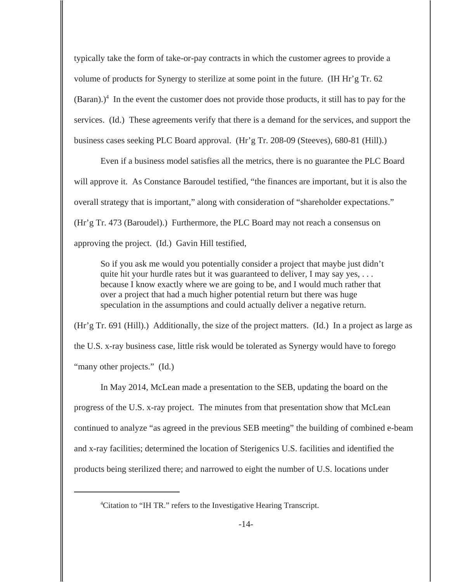typically take the form of take-or-pay contracts in which the customer agrees to provide a volume of products for Synergy to sterilize at some point in the future. (IH Hr'g Tr. 62  $(Baran.)$ <sup>4</sup> In the event the customer does not provide those products, it still has to pay for the services. (Id.) These agreements verify that there is a demand for the services, and support the business cases seeking PLC Board approval. (Hr'g Tr. 208-09 (Steeves), 680-81 (Hill).)

Even if a business model satisfies all the metrics, there is no guarantee the PLC Board will approve it. As Constance Baroudel testified, "the finances are important, but it is also the overall strategy that is important," along with consideration of "shareholder expectations." (Hr'g Tr. 473 (Baroudel).) Furthermore, the PLC Board may not reach a consensus on approving the project. (Id.) Gavin Hill testified,

So if you ask me would you potentially consider a project that maybe just didn't quite hit your hurdle rates but it was guaranteed to deliver, I may say yes, ... because I know exactly where we are going to be, and I would much rather that over a project that had a much higher potential return but there was huge speculation in the assumptions and could actually deliver a negative return.

(Hr'g Tr. 691 (Hill).) Additionally, the size of the project matters. (Id.) In a project as large as the U.S. x-ray business case, little risk would be tolerated as Synergy would have to forego "many other projects." (Id.)

In May 2014, McLean made a presentation to the SEB, updating the board on the progress of the U.S. x-ray project. The minutes from that presentation show that McLean continued to analyze "as agreed in the previous SEB meeting" the building of combined e-beam and x-ray facilities; determined the location of Sterigenics U.S. facilities and identified the products being sterilized there; and narrowed to eight the number of U.S. locations under

<sup>&</sup>lt;sup>4</sup>Citation to "IH TR." refers to the Investigative Hearing Transcript.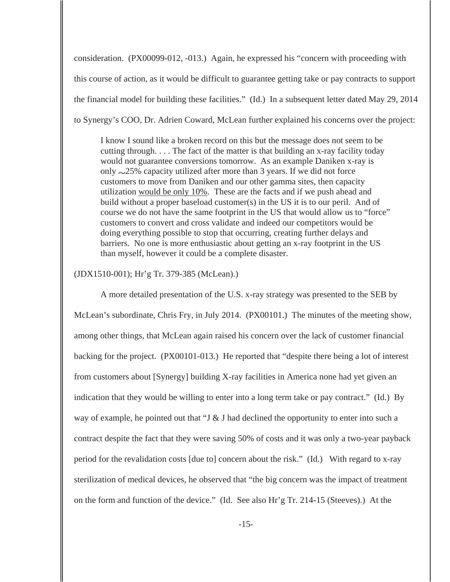consideration. (PX00099-012, -013.) Again, he expressed his "concern with proceeding with this course of action, as it would be difficult to guarantee getting take or pay contracts to support the financial model for building these facilities." (Id.) In a subsequent letter dated May 29, 2014 to Synergy's COO, Dr. Adrien Coward, McLean further explained his concerns over the project:

I know I sound like a broken record on this but the message does not seem to be cutting through.  $\ldots$ . The fact of the matter is that building an x-ray facility today would not guarantee conversions tomorrow. As an example Daniken x-ray is only  $\sim$ 25% capacity utilized after more than 3 years. If we did not force customers to move from Daniken and our other gamma sites, then capacity utilization would be only 10%. These are the facts and if we push ahead and build without a proper baseload customer(s) in the US it is to our peril. And of course we do not have the same footprint in the US that would allow us to "force" customers to convert and cross validate and indeed our competitors would be doing everything possible to stop that occurring, creating further delays and barriers. No one is more enthusiastic about getting an x-ray footprint in the US than myself, however it could be a complete disaster.

#### (JDX1510-001); Hr'g Tr. 379-385 (McLean).)

A more detailed presentation of the U.S. x-ray strategy was presented to the SEB by McLean's subordinate, Chris Fry, in July 2014. (PX00101.) The minutes of the meeting show, among other things, that McLean again raised his concern over the lack of customer financial backing for the project. (PX00101-013.) He reported that "despite there being a lot of interest from customers about [Synergy] building X-ray facilities in America none had yet given an indication that they would be willing to enter into a long term take or pay contract." (Id.) By way of example, he pointed out that "J & J had declined the opportunity to enter into such a contract despite the fact that they were saving 50% of costs and it was only a two-year payback period for the revalidation costs [due to] concern about the risk." (Id.) With regard to x-ray sterilization of medical devices, he observed that "the big concern was the impact of treatment on the form and function of the device." (Id. See also Hr'g Tr. 214-15 (Steeves).) At the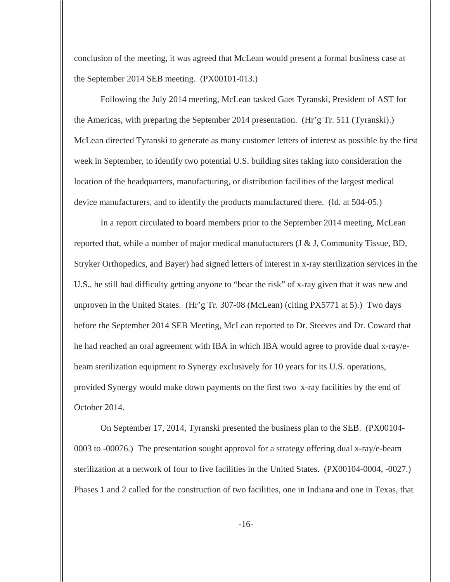conclusion of the meeting, it was agreed that McLean would present a formal business case at the September 2014 SEB meeting. (PX00101-013.)

Following the July 2014 meeting, McLean tasked Gaet Tyranski, President of AST for the Americas, with preparing the September 2014 presentation. (Hr'g Tr. 511 (Tyranski).) McLean directed Tyranski to generate as many customer letters of interest as possible by the first week in September, to identify two potential U.S. building sites taking into consideration the location of the headquarters, manufacturing, or distribution facilities of the largest medical device manufacturers, and to identify the products manufactured there. (Id. at 504-05.)

In a report circulated to board members prior to the September 2014 meeting, McLean reported that, while a number of major medical manufacturers  $(J & J,$  Community Tissue, BD, Stryker Orthopedics, and Bayer) had signed letters of interest in x-ray sterilization services in the U.S., he still had difficulty getting anyone to "bear the risk" of x-ray given that it was new and unproven in the United States. (Hr'g Tr. 307-08 (McLean) (citing PX5771 at 5).) Two days before the September 2014 SEB Meeting, McLean reported to Dr. Steeves and Dr. Coward that he had reached an oral agreement with IBA in which IBA would agree to provide dual x-ray/ebeam sterilization equipment to Synergy exclusively for 10 years for its U.S. operations, provided Synergy would make down payments on the first two x-ray facilities by the end of October 2014.

On September 17, 2014, Tyranski presented the business plan to the SEB. (PX00104- 0003 to -00076.) The presentation sought approval for a strategy offering dual x-ray/e-beam sterilization at a network of four to five facilities in the United States. (PX00104-0004, -0027.) Phases 1 and 2 called for the construction of two facilities, one in Indiana and one in Texas, that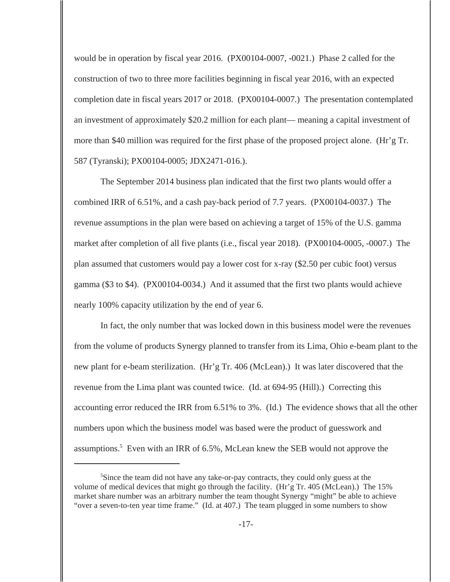would be in operation by fiscal year 2016. (PX00104-0007, -0021.) Phase 2 called for the construction of two to three more facilities beginning in fiscal year 2016, with an expected completion date in fiscal years 2017 or 2018. (PX00104-0007.) The presentation contemplated an investment of approximately \$20.2 million for each plant— meaning a capital investment of more than \$40 million was required for the first phase of the proposed project alone. (Hr'g Tr. 587 (Tyranski); PX00104-0005; JDX2471-016.).

The September 2014 business plan indicated that the first two plants would offer a combined IRR of 6.51%, and a cash pay-back period of 7.7 years. (PX00104-0037.) The revenue assumptions in the plan were based on achieving a target of 15% of the U.S. gamma market after completion of all five plants (i.e., fiscal year 2018). (PX00104-0005, -0007.) The plan assumed that customers would pay a lower cost for x-ray (\$2.50 per cubic foot) versus gamma (\$3 to \$4). (PX00104-0034.) And it assumed that the first two plants would achieve nearly 100% capacity utilization by the end of year 6.

In fact, the only number that was locked down in this business model were the revenues from the volume of products Synergy planned to transfer from its Lima, Ohio e-beam plant to the new plant for e-beam sterilization. (Hr'g Tr. 406 (McLean).) It was later discovered that the revenue from the Lima plant was counted twice. (Id. at 694-95 (Hill).) Correcting this accounting error reduced the IRR from 6.51% to 3%. (Id.) The evidence shows that all the other numbers upon which the business model was based were the product of guesswork and assumptions.<sup>5</sup> Even with an IRR of 6.5%, McLean knew the SEB would not approve the

<sup>5</sup>Since the team did not have any take-or-pay contracts, they could only guess at the volume of medical devices that might go through the facility. (Hr'g Tr. 405 (McLean).) The 15% market share number was an arbitrary number the team thought Synergy "might" be able to achieve "over a seven-to-ten year time frame." (Id. at 407.) The team plugged in some numbers to show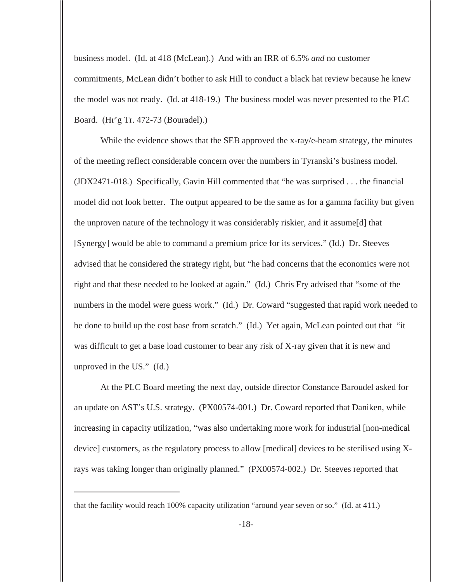business model. (Id. at 418 (McLean).) And with an IRR of 6.5% *and* no customer commitments, McLean didn't bother to ask Hill to conduct a black hat review because he knew the model was not ready. (Id. at 418-19.) The business model was never presented to the PLC Board. (Hr'g Tr. 472-73 (Bouradel).)

While the evidence shows that the SEB approved the x-ray/e-beam strategy, the minutes of the meeting reflect considerable concern over the numbers in Tyranski's business model. (JDX2471-018.) Specifically, Gavin Hill commented that "he was surprised . . . the financial model did not look better. The output appeared to be the same as for a gamma facility but given the unproven nature of the technology it was considerably riskier, and it assume[d] that [Synergy] would be able to command a premium price for its services." (Id.) Dr. Steeves advised that he considered the strategy right, but "he had concerns that the economics were not right and that these needed to be looked at again." (Id.) Chris Fry advised that "some of the numbers in the model were guess work." (Id.) Dr. Coward "suggested that rapid work needed to be done to build up the cost base from scratch." (Id.) Yet again, McLean pointed out that "it was difficult to get a base load customer to bear any risk of X-ray given that it is new and unproved in the US." (Id.)

At the PLC Board meeting the next day, outside director Constance Baroudel asked for an update on AST's U.S. strategy. (PX00574-001.) Dr. Coward reported that Daniken, while increasing in capacity utilization, "was also undertaking more work for industrial [non-medical device] customers, as the regulatory process to allow [medical] devices to be sterilised using Xrays was taking longer than originally planned." (PX00574-002.) Dr. Steeves reported that

that the facility would reach 100% capacity utilization "around year seven or so." (Id. at 411.)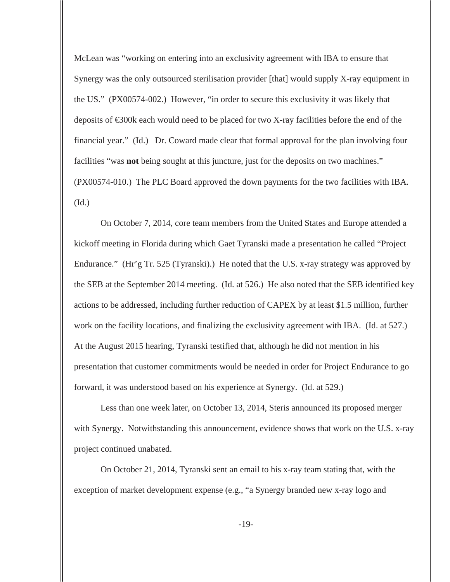McLean was "working on entering into an exclusivity agreement with IBA to ensure that Synergy was the only outsourced sterilisation provider [that] would supply X-ray equipment in the US." (PX00574-002.) However, "in order to secure this exclusivity it was likely that deposits of  $\epsilon$ 300k each would need to be placed for two X-ray facilities before the end of the financial year." (Id.) Dr. Coward made clear that formal approval for the plan involving four facilities "was **not** being sought at this juncture, just for the deposits on two machines." (PX00574-010.) The PLC Board approved the down payments for the two facilities with IBA. (Id.)

On October 7, 2014, core team members from the United States and Europe attended a kickoff meeting in Florida during which Gaet Tyranski made a presentation he called "Project Endurance." (Hr'g Tr. 525 (Tyranski).) He noted that the U.S. x-ray strategy was approved by the SEB at the September 2014 meeting. (Id. at 526.) He also noted that the SEB identified key actions to be addressed, including further reduction of CAPEX by at least \$1.5 million, further work on the facility locations, and finalizing the exclusivity agreement with IBA. (Id. at 527.) At the August 2015 hearing, Tyranski testified that, although he did not mention in his presentation that customer commitments would be needed in order for Project Endurance to go forward, it was understood based on his experience at Synergy. (Id. at 529.)

Less than one week later, on October 13, 2014, Steris announced its proposed merger with Synergy. Notwithstanding this announcement, evidence shows that work on the U.S. x-ray project continued unabated.

On October 21, 2014, Tyranski sent an email to his x-ray team stating that, with the exception of market development expense (e.g., "a Synergy branded new x-ray logo and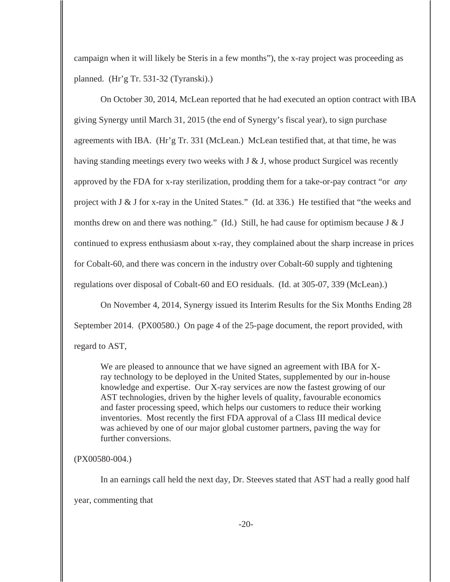campaign when it will likely be Steris in a few months"), the x-ray project was proceeding as planned. (Hr'g Tr. 531-32 (Tyranski).)

On October 30, 2014, McLean reported that he had executed an option contract with IBA giving Synergy until March 31, 2015 (the end of Synergy's fiscal year), to sign purchase agreements with IBA. (Hr'g Tr. 331 (McLean.) McLean testified that, at that time, he was having standing meetings every two weeks with  $J \& J$ , whose product Surgicel was recently approved by the FDA for x-ray sterilization, prodding them for a take-or-pay contract "or *any* project with J & J for x-ray in the United States." (Id. at 336.) He testified that "the weeks and months drew on and there was nothing." (Id.) Still, he had cause for optimism because  $J & J$ continued to express enthusiasm about x-ray, they complained about the sharp increase in prices for Cobalt-60, and there was concern in the industry over Cobalt-60 supply and tightening regulations over disposal of Cobalt-60 and EO residuals. (Id. at 305-07, 339 (McLean).)

On November 4, 2014, Synergy issued its Interim Results for the Six Months Ending 28 September 2014. (PX00580.) On page 4 of the 25-page document, the report provided, with regard to AST,

We are pleased to announce that we have signed an agreement with IBA for Xray technology to be deployed in the United States, supplemented by our in-house knowledge and expertise. Our X-ray services are now the fastest growing of our AST technologies, driven by the higher levels of quality, favourable economics and faster processing speed, which helps our customers to reduce their working inventories. Most recently the first FDA approval of a Class III medical device was achieved by one of our major global customer partners, paving the way for further conversions.

# (PX00580-004.)

In an earnings call held the next day, Dr. Steeves stated that AST had a really good half

year, commenting that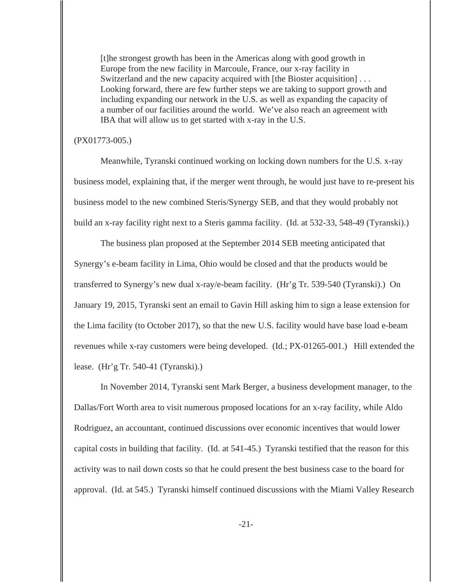[t]he strongest growth has been in the Americas along with good growth in Europe from the new facility in Marcoule, France, our x-ray facility in Switzerland and the new capacity acquired with [the Bioster acquisition]... Looking forward, there are few further steps we are taking to support growth and including expanding our network in the U.S. as well as expanding the capacity of a number of our facilities around the world. We've also reach an agreement with IBA that will allow us to get started with x-ray in the U.S.

#### (PX01773-005.)

Meanwhile, Tyranski continued working on locking down numbers for the U.S. x-ray business model, explaining that, if the merger went through, he would just have to re-present his business model to the new combined Steris/Synergy SEB, and that they would probably not build an x-ray facility right next to a Steris gamma facility. (Id. at 532-33, 548-49 (Tyranski).)

The business plan proposed at the September 2014 SEB meeting anticipated that Synergy's e-beam facility in Lima, Ohio would be closed and that the products would be transferred to Synergy's new dual x-ray/e-beam facility. (Hr'g Tr. 539-540 (Tyranski).) On January 19, 2015, Tyranski sent an email to Gavin Hill asking him to sign a lease extension for the Lima facility (to October 2017), so that the new U.S. facility would have base load e-beam revenues while x-ray customers were being developed. (Id.; PX-01265-001.) Hill extended the lease. (Hr'g Tr. 540-41 (Tyranski).)

In November 2014, Tyranski sent Mark Berger, a business development manager, to the Dallas/Fort Worth area to visit numerous proposed locations for an x-ray facility, while Aldo Rodriguez, an accountant, continued discussions over economic incentives that would lower capital costs in building that facility. (Id. at 541-45.) Tyranski testified that the reason for this activity was to nail down costs so that he could present the best business case to the board for approval. (Id. at 545.) Tyranski himself continued discussions with the Miami Valley Research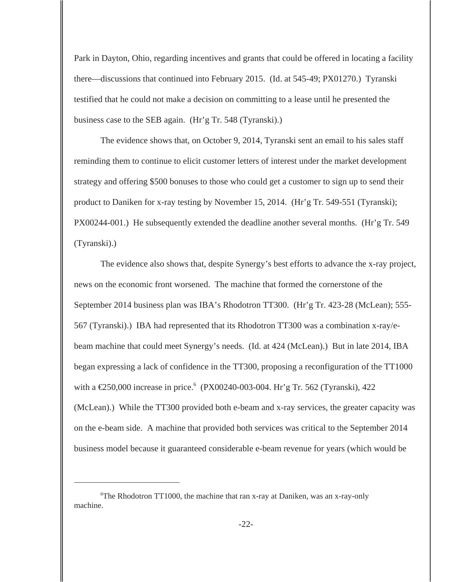Park in Dayton, Ohio, regarding incentives and grants that could be offered in locating a facility there—discussions that continued into February 2015. (Id. at 545-49; PX01270.) Tyranski testified that he could not make a decision on committing to a lease until he presented the business case to the SEB again. (Hr'g Tr. 548 (Tyranski).)

The evidence shows that, on October 9, 2014, Tyranski sent an email to his sales staff reminding them to continue to elicit customer letters of interest under the market development strategy and offering \$500 bonuses to those who could get a customer to sign up to send their product to Daniken for x-ray testing by November 15, 2014. (Hr'g Tr. 549-551 (Tyranski); PX00244-001.) He subsequently extended the deadline another several months. (Hr'g Tr. 549 (Tyranski).)

The evidence also shows that, despite Synergy's best efforts to advance the x-ray project, news on the economic front worsened. The machine that formed the cornerstone of the September 2014 business plan was IBA's Rhodotron TT300. (Hr'g Tr. 423-28 (McLean); 555- 567 (Tyranski).) IBA had represented that its Rhodotron TT300 was a combination x-ray/ebeam machine that could meet Synergy's needs. (Id. at 424 (McLean).) But in late 2014, IBA began expressing a lack of confidence in the TT300, proposing a reconfiguration of the TT1000 with a €250,000 increase in price<sup>6</sup> (PX00240-003-004. Hr'g Tr. 562 (Tyranski), 422 (McLean).) While the TT300 provided both e-beam and x-ray services, the greater capacity was on the e-beam side. A machine that provided both services was critical to the September 2014 business model because it guaranteed considerable e-beam revenue for years (which would be

 $6$ The Rhodotron TT1000, the machine that ran x-ray at Daniken, was an x-ray-only machine.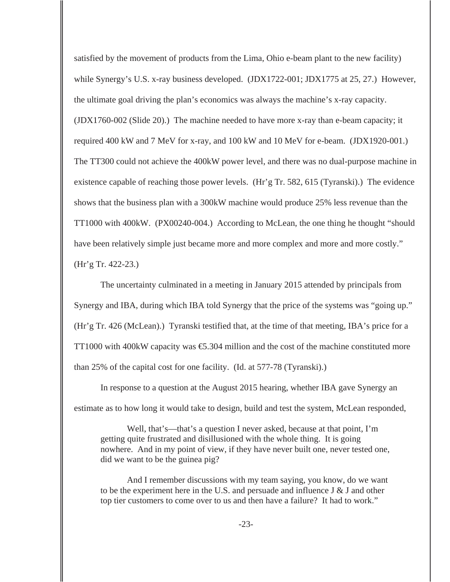satisfied by the movement of products from the Lima, Ohio e-beam plant to the new facility) while Synergy's U.S. x-ray business developed. (JDX1722-001; JDX1775 at 25, 27.) However, the ultimate goal driving the plan's economics was always the machine's x-ray capacity. (JDX1760-002 (Slide 20).) The machine needed to have more x-ray than e-beam capacity; it required 400 kW and 7 MeV for x-ray, and 100 kW and 10 MeV for e-beam. (JDX1920-001.) The TT300 could not achieve the 400kW power level, and there was no dual-purpose machine in existence capable of reaching those power levels. (Hr'g Tr. 582, 615 (Tyranski).) The evidence shows that the business plan with a 300kW machine would produce 25% less revenue than the TT1000 with 400kW. (PX00240-004.) According to McLean, the one thing he thought "should have been relatively simple just became more and more complex and more and more costly." (Hr'g Tr. 422-23.)

The uncertainty culminated in a meeting in January 2015 attended by principals from Synergy and IBA, during which IBA told Synergy that the price of the systems was "going up." (Hr'g Tr. 426 (McLean).) Tyranski testified that, at the time of that meeting, IBA's price for a TT1000 with 400kW capacity was  $\epsilon$ 5.304 million and the cost of the machine constituted more than 25% of the capital cost for one facility. (Id. at 577-78 (Tyranski).)

In response to a question at the August 2015 hearing, whether IBA gave Synergy an estimate as to how long it would take to design, build and test the system, McLean responded,

Well, that's—that's a question I never asked, because at that point, I'm getting quite frustrated and disillusioned with the whole thing. It is going nowhere. And in my point of view, if they have never built one, never tested one, did we want to be the guinea pig?

And I remember discussions with my team saying, you know, do we want to be the experiment here in the U.S. and persuade and influence  $J \& J$  and other top tier customers to come over to us and then have a failure? It had to work."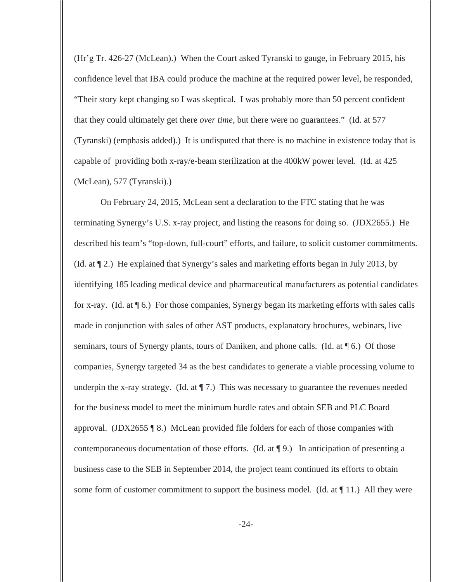(Hr'g Tr. 426-27 (McLean).) When the Court asked Tyranski to gauge, in February 2015, his confidence level that IBA could produce the machine at the required power level, he responded, "Their story kept changing so I was skeptical. I was probably more than 50 percent confident that they could ultimately get there *over time*, but there were no guarantees." (Id. at 577 (Tyranski) (emphasis added).) It is undisputed that there is no machine in existence today that is capable of providing both x-ray/e-beam sterilization at the 400kW power level. (Id. at 425 (McLean), 577 (Tyranski).)

On February 24, 2015, McLean sent a declaration to the FTC stating that he was terminating Synergy's U.S. x-ray project, and listing the reasons for doing so. (JDX2655.) He described his team's "top-down, full-court" efforts, and failure, to solicit customer commitments. (Id. at ¶ 2.) He explained that Synergy's sales and marketing efforts began in July 2013, by identifying 185 leading medical device and pharmaceutical manufacturers as potential candidates for x-ray. (Id. at ¶ 6.) For those companies, Synergy began its marketing efforts with sales calls made in conjunction with sales of other AST products, explanatory brochures, webinars, live seminars, tours of Synergy plants, tours of Daniken, and phone calls. (Id. at  $\P$  6.) Of those companies, Synergy targeted 34 as the best candidates to generate a viable processing volume to underpin the x-ray strategy. (Id. at  $\P$  7.) This was necessary to guarantee the revenues needed for the business model to meet the minimum hurdle rates and obtain SEB and PLC Board approval. (JDX2655 ¶ 8.) McLean provided file folders for each of those companies with contemporaneous documentation of those efforts. (Id. at ¶ 9.) In anticipation of presenting a business case to the SEB in September 2014, the project team continued its efforts to obtain some form of customer commitment to support the business model. (Id. at  $\P$  11.) All they were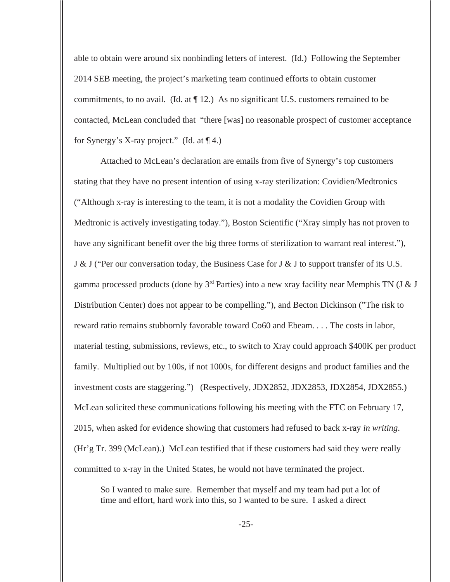able to obtain were around six nonbinding letters of interest. (Id.) Following the September 2014 SEB meeting, the project's marketing team continued efforts to obtain customer commitments, to no avail. (Id. at  $\P$  12.) As no significant U.S. customers remained to be contacted, McLean concluded that "there [was] no reasonable prospect of customer acceptance for Synergy's X-ray project." (Id. at  $\P$  4.)

Attached to McLean's declaration are emails from five of Synergy's top customers stating that they have no present intention of using x-ray sterilization: Covidien/Medtronics ("Although x-ray is interesting to the team, it is not a modality the Covidien Group with Medtronic is actively investigating today."), Boston Scientific ("Xray simply has not proven to have any significant benefit over the big three forms of sterilization to warrant real interest."), J & J ("Per our conversation today, the Business Case for J & J to support transfer of its U.S. gamma processed products (done by  $3<sup>rd</sup>$  Parties) into a new xray facility near Memphis TN (J & J Distribution Center) does not appear to be compelling."), and Becton Dickinson ("The risk to reward ratio remains stubbornly favorable toward Co60 and Ebeam. . . . The costs in labor, material testing, submissions, reviews, etc., to switch to Xray could approach \$400K per product family. Multiplied out by 100s, if not 1000s, for different designs and product families and the investment costs are staggering.") (Respectively, JDX2852, JDX2853, JDX2854, JDX2855.) McLean solicited these communications following his meeting with the FTC on February 17, 2015, when asked for evidence showing that customers had refused to back x-ray *in writing*. (Hr'g Tr. 399 (McLean).) McLean testified that if these customers had said they were really committed to x-ray in the United States, he would not have terminated the project.

So I wanted to make sure. Remember that myself and my team had put a lot of time and effort, hard work into this, so I wanted to be sure. I asked a direct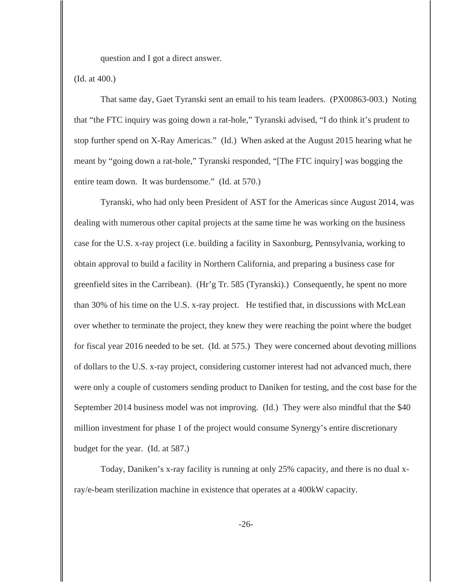question and I got a direct answer.

(Id. at 400.)

That same day, Gaet Tyranski sent an email to his team leaders. (PX00863-003.) Noting that "the FTC inquiry was going down a rat-hole," Tyranski advised, "I do think it's prudent to stop further spend on X-Ray Americas." (Id.) When asked at the August 2015 hearing what he meant by "going down a rat-hole," Tyranski responded, "[The FTC inquiry] was bogging the entire team down. It was burdensome." (Id. at 570.)

Tyranski, who had only been President of AST for the Americas since August 2014, was dealing with numerous other capital projects at the same time he was working on the business case for the U.S. x-ray project (i.e. building a facility in Saxonburg, Pennsylvania, working to obtain approval to build a facility in Northern California, and preparing a business case for greenfield sites in the Carribean). (Hr'g Tr. 585 (Tyranski).) Consequently, he spent no more than 30% of his time on the U.S. x-ray project. He testified that, in discussions with McLean over whether to terminate the project, they knew they were reaching the point where the budget for fiscal year 2016 needed to be set. (Id. at 575.) They were concerned about devoting millions of dollars to the U.S. x-ray project, considering customer interest had not advanced much, there were only a couple of customers sending product to Daniken for testing, and the cost base for the September 2014 business model was not improving. (Id.) They were also mindful that the \$40 million investment for phase 1 of the project would consume Synergy's entire discretionary budget for the year. (Id. at 587.)

Today, Daniken's x-ray facility is running at only 25% capacity, and there is no dual xray/e-beam sterilization machine in existence that operates at a 400kW capacity.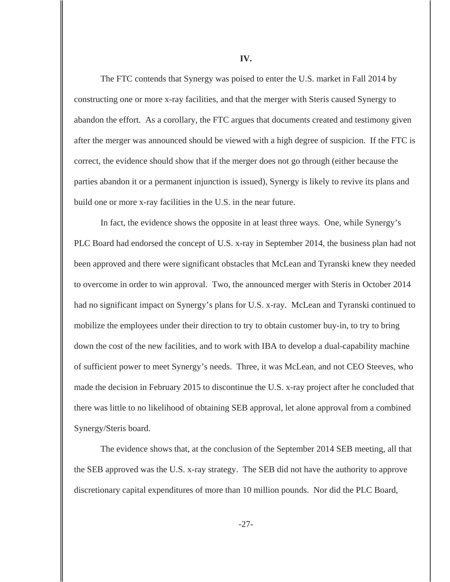The FTC contends that Synergy was poised to enter the U.S. market in Fall 2014 by constructing one or more x-ray facilities, and that the merger with Steris caused Synergy to abandon the effort. As a corollary, the FTC argues that documents created and testimony given after the merger was announced should be viewed with a high degree of suspicion. If the FTC is correct, the evidence should show that if the merger does not go through (either because the parties abandon it or a permanent injunction is issued), Synergy is likely to revive its plans and build one or more x-ray facilities in the U.S. in the near future.

In fact, the evidence shows the opposite in at least three ways. One, while Synergy's PLC Board had endorsed the concept of U.S. x-ray in September 2014, the business plan had not been approved and there were significant obstacles that McLean and Tyranski knew they needed to overcome in order to win approval. Two, the announced merger with Steris in October 2014 had no significant impact on Synergy's plans for U.S. x-ray. McLean and Tyranski continued to mobilize the employees under their direction to try to obtain customer buy-in, to try to bring down the cost of the new facilities, and to work with IBA to develop a dual-capability machine of sufficient power to meet Synergy's needs. Three, it was McLean, and not CEO Steeves, who made the decision in February 2015 to discontinue the U.S. x-ray project after he concluded that there was little to no likelihood of obtaining SEB approval, let alone approval from a combined Synergy/Steris board.

The evidence shows that, at the conclusion of the September 2014 SEB meeting, all that the SEB approved was the U.S. x-ray strategy. The SEB did not have the authority to approve discretionary capital expenditures of more than 10 million pounds. Nor did the PLC Board,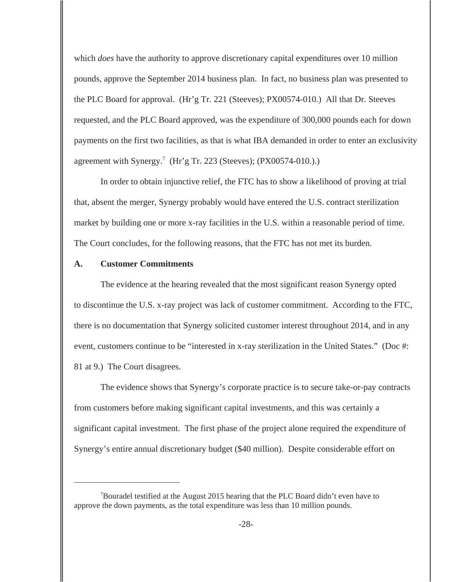which *does* have the authority to approve discretionary capital expenditures over 10 million pounds, approve the September 2014 business plan. In fact, no business plan was presented to the PLC Board for approval. (Hr'g Tr. 221 (Steeves); PX00574-010.) All that Dr. Steeves requested, and the PLC Board approved, was the expenditure of 300,000 pounds each for down payments on the first two facilities, as that is what IBA demanded in order to enter an exclusivity agreement with Synergy.<sup>7</sup> (Hr'g Tr. 223 (Steeves); (PX00574-010.).)

In order to obtain injunctive relief, the FTC has to show a likelihood of proving at trial that, absent the merger, Synergy probably would have entered the U.S. contract sterilization market by building one or more x-ray facilities in the U.S. within a reasonable period of time. The Court concludes, for the following reasons, that the FTC has not met its burden.

#### **A. Customer Commitments**

The evidence at the hearing revealed that the most significant reason Synergy opted to discontinue the U.S. x-ray project was lack of customer commitment. According to the FTC, there is no documentation that Synergy solicited customer interest throughout 2014, and in any event, customers continue to be "interested in x-ray sterilization in the United States." (Doc #: 81 at 9.) The Court disagrees.

The evidence shows that Synergy's corporate practice is to secure take-or-pay contracts from customers before making significant capital investments, and this was certainly a significant capital investment. The first phase of the project alone required the expenditure of Synergy's entire annual discretionary budget (\$40 million). Despite considerable effort on

<sup>7</sup>Bouradel testified at the August 2015 hearing that the PLC Board didn't even have to approve the down payments, as the total expenditure was less than 10 million pounds.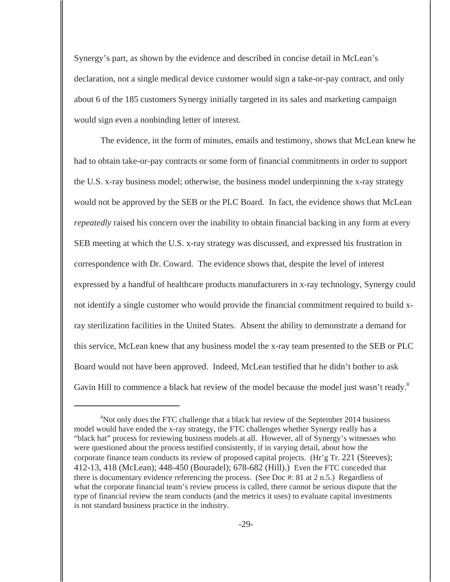Synergy's part, as shown by the evidence and described in concise detail in McLean's declaration, not a single medical device customer would sign a take-or-pay contract, and only about 6 of the 185 customers Synergy initially targeted in its sales and marketing campaign would sign even a nonbinding letter of interest.

The evidence, in the form of minutes, emails and testimony, shows that McLean knew he had to obtain take-or-pay contracts or some form of financial commitments in order to support the U.S. x-ray business model; otherwise, the business model underpinning the x-ray strategy would not be approved by the SEB or the PLC Board. In fact, the evidence shows that McLean *repeatedly* raised his concern over the inability to obtain financial backing in any form at every SEB meeting at which the U.S. x-ray strategy was discussed, and expressed his frustration in correspondence with Dr. Coward. The evidence shows that, despite the level of interest expressed by a handful of healthcare products manufacturers in x-ray technology, Synergy could not identify a single customer who would provide the financial commitment required to build xray sterilization facilities in the United States. Absent the ability to demonstrate a demand for this service, McLean knew that any business model the x-ray team presented to the SEB or PLC Board would not have been approved. Indeed, McLean testified that he didn't bother to ask Gavin Hill to commence a black hat review of the model because the model just wasn't ready.<sup>8</sup>

<sup>&</sup>lt;sup>8</sup>Not only does the FTC challenge that a black hat review of the September 2014 business model would have ended the x-ray strategy, the FTC challenges whether Synergy really has a "black hat" process for reviewing business models at all. However, all of Synergy's witnesses who were questioned about the process testified consistently, if in varying detail, about how the corporate finance team conducts its review of proposed capital projects. (Hr'g Tr. 221 (Steeves); 412-13, 418 (McLean); 448-450 (Bouradel); 678-682 (Hill).) Even the FTC conceded that there is documentary evidence referencing the process. (See Doc  $\#$ : 81 at 2 n.5.) Regardless of what the corporate financial team's review process is called, there cannot be serious dispute that the type of financial review the team conducts (and the metrics it uses) to evaluate capital investments is not standard business practice in the industry.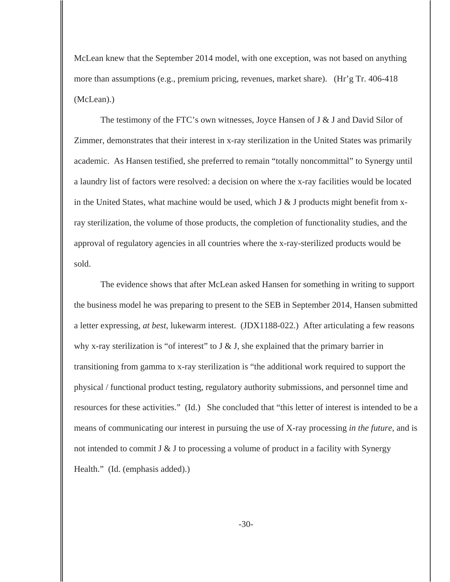McLean knew that the September 2014 model, with one exception, was not based on anything more than assumptions (e.g., premium pricing, revenues, market share). (Hr'g Tr. 406-418 (McLean).)

The testimony of the FTC's own witnesses, Joyce Hansen of J & J and David Silor of Zimmer, demonstrates that their interest in x-ray sterilization in the United States was primarily academic. As Hansen testified, she preferred to remain "totally noncommittal" to Synergy until a laundry list of factors were resolved: a decision on where the x-ray facilities would be located in the United States, what machine would be used, which  $J \& J$  products might benefit from xray sterilization, the volume of those products, the completion of functionality studies, and the approval of regulatory agencies in all countries where the x-ray-sterilized products would be sold.

The evidence shows that after McLean asked Hansen for something in writing to support the business model he was preparing to present to the SEB in September 2014, Hansen submitted a letter expressing, *at best*, lukewarm interest. (JDX1188-022.) After articulating a few reasons why x-ray sterilization is "of interest" to  $J \& J$ , she explained that the primary barrier in transitioning from gamma to x-ray sterilization is "the additional work required to support the physical / functional product testing, regulatory authority submissions, and personnel time and resources for these activities." (Id.) She concluded that "this letter of interest is intended to be a means of communicating our interest in pursuing the use of X-ray processing *in the future*, and is not intended to commit  $J \& J$  to processing a volume of product in a facility with Synergy Health." (Id. (emphasis added).)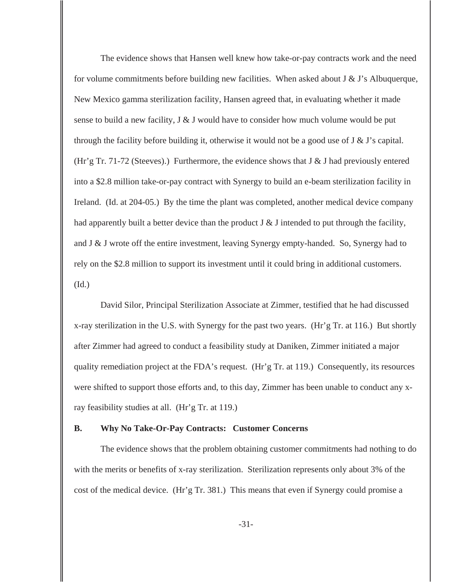The evidence shows that Hansen well knew how take-or-pay contracts work and the need for volume commitments before building new facilities. When asked about  $J \& J$ 's Albuquerque, New Mexico gamma sterilization facility, Hansen agreed that, in evaluating whether it made sense to build a new facility,  $J \& J$  would have to consider how much volume would be put through the facility before building it, otherwise it would not be a good use of J & J's capital. (Hr'g Tr. 71-72 (Steeves).) Furthermore, the evidence shows that  $J \& J$  had previously entered into a \$2.8 million take-or-pay contract with Synergy to build an e-beam sterilization facility in Ireland. (Id. at 204-05.) By the time the plant was completed, another medical device company had apparently built a better device than the product  $J \& J$  intended to put through the facility, and J & J wrote off the entire investment, leaving Synergy empty-handed. So, Synergy had to rely on the \$2.8 million to support its investment until it could bring in additional customers. (Id.)

David Silor, Principal Sterilization Associate at Zimmer, testified that he had discussed x-ray sterilization in the U.S. with Synergy for the past two years. (Hr'g Tr. at 116.) But shortly after Zimmer had agreed to conduct a feasibility study at Daniken, Zimmer initiated a major quality remediation project at the FDA's request. (Hr'g Tr. at 119.) Consequently, its resources were shifted to support those efforts and, to this day, Zimmer has been unable to conduct any xray feasibility studies at all. (Hr'g Tr. at 119.)

#### **B. Why No Take-Or-Pay Contracts: Customer Concerns**

The evidence shows that the problem obtaining customer commitments had nothing to do with the merits or benefits of x-ray sterilization. Sterilization represents only about 3% of the cost of the medical device. (Hr'g Tr. 381.) This means that even if Synergy could promise a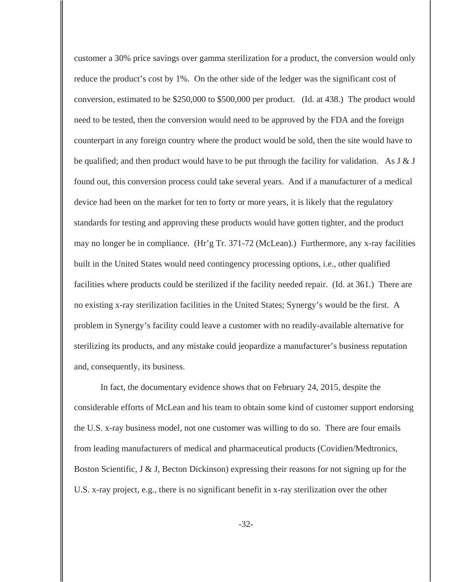customer a 30% price savings over gamma sterilization for a product, the conversion would only reduce the product's cost by 1%. On the other side of the ledger was the significant cost of conversion, estimated to be \$250,000 to \$500,000 per product. (Id. at 438.) The product would need to be tested, then the conversion would need to be approved by the FDA and the foreign counterpart in any foreign country where the product would be sold, then the site would have to be qualified; and then product would have to be put through the facility for validation. As J & J found out, this conversion process could take several years. And if a manufacturer of a medical device had been on the market for ten to forty or more years, it is likely that the regulatory standards for testing and approving these products would have gotten tighter, and the product may no longer be in compliance. (Hr'g Tr. 371-72 (McLean).) Furthermore, any x-ray facilities built in the United States would need contingency processing options, i.e., other qualified facilities where products could be sterilized if the facility needed repair. (Id. at 361.) There are no existing x-ray sterilization facilities in the United States; Synergy's would be the first. A problem in Synergy's facility could leave a customer with no readily-available alternative for sterilizing its products, and any mistake could jeopardize a manufacturer's business reputation and, consequently, its business.

In fact, the documentary evidence shows that on February 24, 2015, despite the considerable efforts of McLean and his team to obtain some kind of customer support endorsing the U.S. x-ray business model, not one customer was willing to do so. There are four emails from leading manufacturers of medical and pharmaceutical products (Covidien/Medtronics, Boston Scientific, J & J, Becton Dickinson) expressing their reasons for not signing up for the U.S. x-ray project, e.g., there is no significant benefit in x-ray sterilization over the other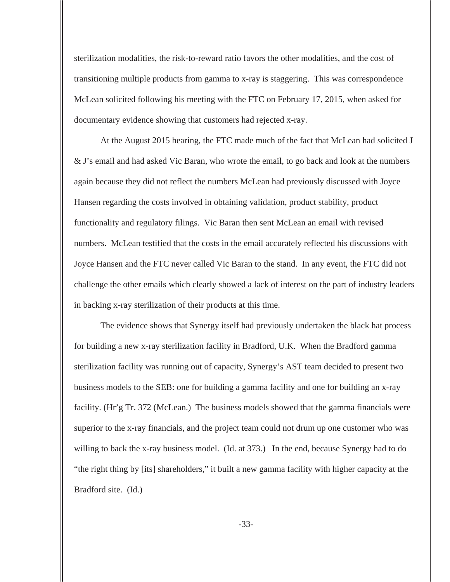sterilization modalities, the risk-to-reward ratio favors the other modalities, and the cost of transitioning multiple products from gamma to x-ray is staggering. This was correspondence McLean solicited following his meeting with the FTC on February 17, 2015, when asked for documentary evidence showing that customers had rejected x-ray.

At the August 2015 hearing, the FTC made much of the fact that McLean had solicited J & J's email and had asked Vic Baran, who wrote the email, to go back and look at the numbers again because they did not reflect the numbers McLean had previously discussed with Joyce Hansen regarding the costs involved in obtaining validation, product stability, product functionality and regulatory filings. Vic Baran then sent McLean an email with revised numbers. McLean testified that the costs in the email accurately reflected his discussions with Joyce Hansen and the FTC never called Vic Baran to the stand. In any event, the FTC did not challenge the other emails which clearly showed a lack of interest on the part of industry leaders in backing x-ray sterilization of their products at this time.

The evidence shows that Synergy itself had previously undertaken the black hat process for building a new x-ray sterilization facility in Bradford, U.K. When the Bradford gamma sterilization facility was running out of capacity, Synergy's AST team decided to present two business models to the SEB: one for building a gamma facility and one for building an x-ray facility. (Hr'g Tr. 372 (McLean.) The business models showed that the gamma financials were superior to the x-ray financials, and the project team could not drum up one customer who was willing to back the x-ray business model. (Id. at 373.) In the end, because Synergy had to do "the right thing by [its] shareholders," it built a new gamma facility with higher capacity at the Bradford site. (Id.)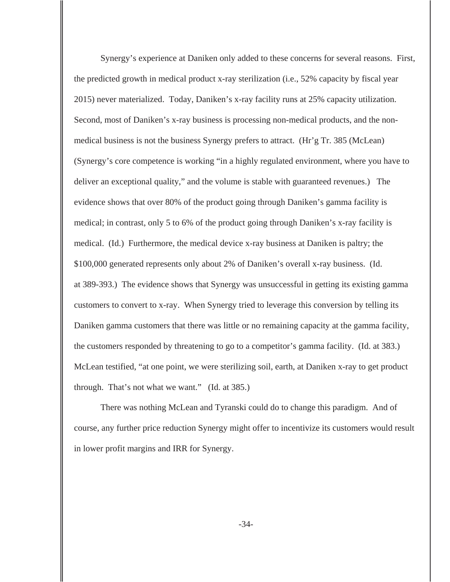Synergy's experience at Daniken only added to these concerns for several reasons. First, the predicted growth in medical product x-ray sterilization (i.e., 52% capacity by fiscal year 2015) never materialized. Today, Daniken's x-ray facility runs at 25% capacity utilization. Second, most of Daniken's x-ray business is processing non-medical products, and the nonmedical business is not the business Synergy prefers to attract. (Hr'g Tr. 385 (McLean) (Synergy's core competence is working "in a highly regulated environment, where you have to deliver an exceptional quality," and the volume is stable with guaranteed revenues.) The evidence shows that over 80% of the product going through Daniken's gamma facility is medical; in contrast, only 5 to 6% of the product going through Daniken's x-ray facility is medical. (Id.) Furthermore, the medical device x-ray business at Daniken is paltry; the \$100,000 generated represents only about 2% of Daniken's overall x-ray business. (Id. at 389-393.) The evidence shows that Synergy was unsuccessful in getting its existing gamma customers to convert to x-ray. When Synergy tried to leverage this conversion by telling its Daniken gamma customers that there was little or no remaining capacity at the gamma facility, the customers responded by threatening to go to a competitor's gamma facility. (Id. at 383.) McLean testified, "at one point, we were sterilizing soil, earth, at Daniken x-ray to get product through. That's not what we want." (Id. at 385.)

There was nothing McLean and Tyranski could do to change this paradigm. And of course, any further price reduction Synergy might offer to incentivize its customers would result in lower profit margins and IRR for Synergy.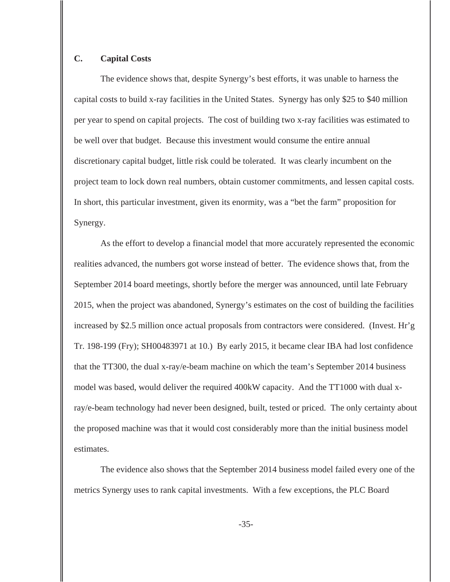### **C. Capital Costs**

The evidence shows that, despite Synergy's best efforts, it was unable to harness the capital costs to build x-ray facilities in the United States. Synergy has only \$25 to \$40 million per year to spend on capital projects. The cost of building two x-ray facilities was estimated to be well over that budget. Because this investment would consume the entire annual discretionary capital budget, little risk could be tolerated. It was clearly incumbent on the project team to lock down real numbers, obtain customer commitments, and lessen capital costs. In short, this particular investment, given its enormity, was a "bet the farm" proposition for Synergy.

As the effort to develop a financial model that more accurately represented the economic realities advanced, the numbers got worse instead of better. The evidence shows that, from the September 2014 board meetings, shortly before the merger was announced, until late February 2015, when the project was abandoned, Synergy's estimates on the cost of building the facilities increased by \$2.5 million once actual proposals from contractors were considered. (Invest. Hr'g Tr. 198-199 (Fry); SH00483971 at 10.) By early 2015, it became clear IBA had lost confidence that the TT300, the dual x-ray/e-beam machine on which the team's September 2014 business model was based, would deliver the required 400kW capacity. And the TT1000 with dual xray/e-beam technology had never been designed, built, tested or priced. The only certainty about the proposed machine was that it would cost considerably more than the initial business model estimates.

The evidence also shows that the September 2014 business model failed every one of the metrics Synergy uses to rank capital investments. With a few exceptions, the PLC Board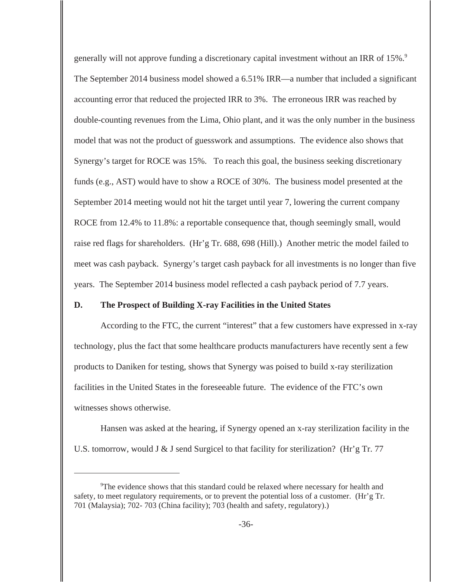generally will not approve funding a discretionary capital investment without an IRR of 15%.<sup>9</sup> The September 2014 business model showed a 6.51% IRR—a number that included a significant accounting error that reduced the projected IRR to 3%. The erroneous IRR was reached by double-counting revenues from the Lima, Ohio plant, and it was the only number in the business model that was not the product of guesswork and assumptions. The evidence also shows that Synergy's target for ROCE was 15%. To reach this goal, the business seeking discretionary funds (e.g., AST) would have to show a ROCE of 30%. The business model presented at the September 2014 meeting would not hit the target until year 7, lowering the current company ROCE from 12.4% to 11.8%: a reportable consequence that, though seemingly small, would raise red flags for shareholders. (Hr'g Tr. 688, 698 (Hill).) Another metric the model failed to meet was cash payback. Synergy's target cash payback for all investments is no longer than five years. The September 2014 business model reflected a cash payback period of 7.7 years.

#### **D. The Prospect of Building X-ray Facilities in the United States**

According to the FTC, the current "interest" that a few customers have expressed in x-ray technology, plus the fact that some healthcare products manufacturers have recently sent a few products to Daniken for testing, shows that Synergy was poised to build x-ray sterilization facilities in the United States in the foreseeable future. The evidence of the FTC's own witnesses shows otherwise.

Hansen was asked at the hearing, if Synergy opened an x-ray sterilization facility in the U.S. tomorrow, would J & J send Surgicel to that facility for sterilization? (Hr'g Tr. 77)

<sup>9</sup>The evidence shows that this standard could be relaxed where necessary for health and safety, to meet regulatory requirements, or to prevent the potential loss of a customer. (Hr'g Tr. 701 (Malaysia); 702- 703 (China facility); 703 (health and safety, regulatory).)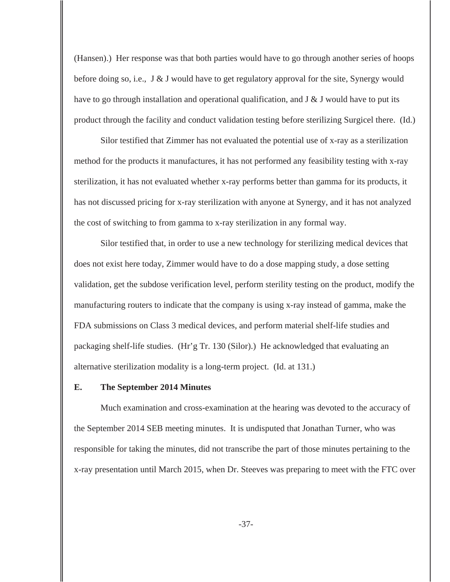(Hansen).) Her response was that both parties would have to go through another series of hoops before doing so, i.e., J & J would have to get regulatory approval for the site, Synergy would have to go through installation and operational qualification, and J & J would have to put its product through the facility and conduct validation testing before sterilizing Surgicel there. (Id.)

Silor testified that Zimmer has not evaluated the potential use of x-ray as a sterilization method for the products it manufactures, it has not performed any feasibility testing with x-ray sterilization, it has not evaluated whether x-ray performs better than gamma for its products, it has not discussed pricing for x-ray sterilization with anyone at Synergy, and it has not analyzed the cost of switching to from gamma to x-ray sterilization in any formal way.

Silor testified that, in order to use a new technology for sterilizing medical devices that does not exist here today, Zimmer would have to do a dose mapping study, a dose setting validation, get the subdose verification level, perform sterility testing on the product, modify the manufacturing routers to indicate that the company is using x-ray instead of gamma, make the FDA submissions on Class 3 medical devices, and perform material shelf-life studies and packaging shelf-life studies. (Hr'g Tr. 130 (Silor).) He acknowledged that evaluating an alternative sterilization modality is a long-term project. (Id. at 131.)

#### **E. The September 2014 Minutes**

Much examination and cross-examination at the hearing was devoted to the accuracy of the September 2014 SEB meeting minutes. It is undisputed that Jonathan Turner, who was responsible for taking the minutes, did not transcribe the part of those minutes pertaining to the x-ray presentation until March 2015, when Dr. Steeves was preparing to meet with the FTC over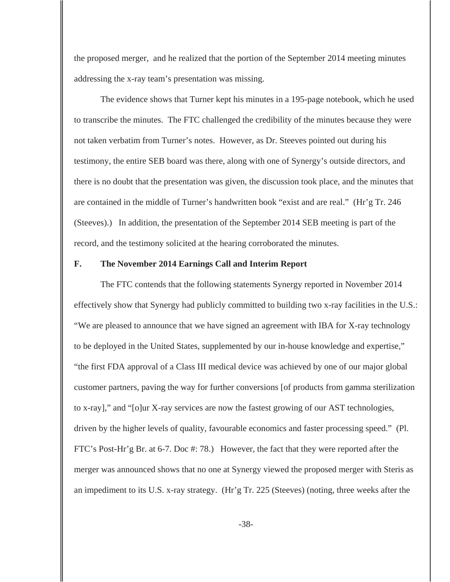the proposed merger, and he realized that the portion of the September 2014 meeting minutes addressing the x-ray team's presentation was missing.

The evidence shows that Turner kept his minutes in a 195-page notebook, which he used to transcribe the minutes. The FTC challenged the credibility of the minutes because they were not taken verbatim from Turner's notes. However, as Dr. Steeves pointed out during his testimony, the entire SEB board was there, along with one of Synergy's outside directors, and there is no doubt that the presentation was given, the discussion took place, and the minutes that are contained in the middle of Turner's handwritten book "exist and are real." (Hr'g Tr. 246 (Steeves).) In addition, the presentation of the September 2014 SEB meeting is part of the record, and the testimony solicited at the hearing corroborated the minutes.

#### **F. The November 2014 Earnings Call and Interim Report**

The FTC contends that the following statements Synergy reported in November 2014 effectively show that Synergy had publicly committed to building two x-ray facilities in the U.S.: "We are pleased to announce that we have signed an agreement with IBA for X-ray technology to be deployed in the United States, supplemented by our in-house knowledge and expertise," "the first FDA approval of a Class III medical device was achieved by one of our major global customer partners, paving the way for further conversions [of products from gamma sterilization to x-ray]," and "[o]ur X-ray services are now the fastest growing of our AST technologies, driven by the higher levels of quality, favourable economics and faster processing speed." (Pl. FTC's Post-Hr'g Br. at 6-7. Doc #: 78.) However, the fact that they were reported after the merger was announced shows that no one at Synergy viewed the proposed merger with Steris as an impediment to its U.S. x-ray strategy. (Hr'g Tr. 225 (Steeves) (noting, three weeks after the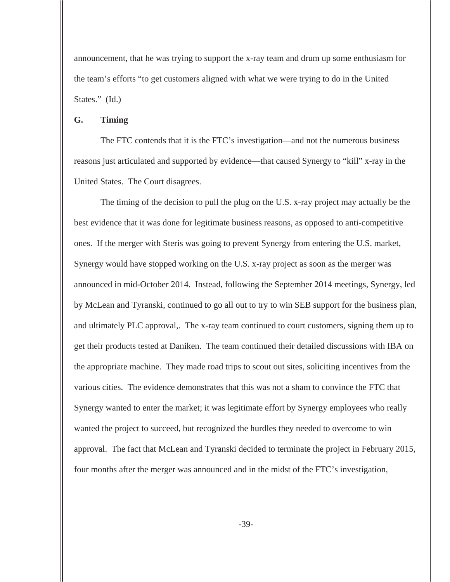announcement, that he was trying to support the x-ray team and drum up some enthusiasm for the team's efforts "to get customers aligned with what we were trying to do in the United States." (Id.)

#### **G. Timing**

The FTC contends that it is the FTC's investigation—and not the numerous business reasons just articulated and supported by evidence—that caused Synergy to "kill" x-ray in the United States. The Court disagrees.

The timing of the decision to pull the plug on the U.S. x-ray project may actually be the best evidence that it was done for legitimate business reasons, as opposed to anti-competitive ones. If the merger with Steris was going to prevent Synergy from entering the U.S. market, Synergy would have stopped working on the U.S. x-ray project as soon as the merger was announced in mid-October 2014. Instead, following the September 2014 meetings, Synergy, led by McLean and Tyranski, continued to go all out to try to win SEB support for the business plan, and ultimately PLC approval,. The x-ray team continued to court customers, signing them up to get their products tested at Daniken. The team continued their detailed discussions with IBA on the appropriate machine. They made road trips to scout out sites, soliciting incentives from the various cities. The evidence demonstrates that this was not a sham to convince the FTC that Synergy wanted to enter the market; it was legitimate effort by Synergy employees who really wanted the project to succeed, but recognized the hurdles they needed to overcome to win approval. The fact that McLean and Tyranski decided to terminate the project in February 2015, four months after the merger was announced and in the midst of the FTC's investigation,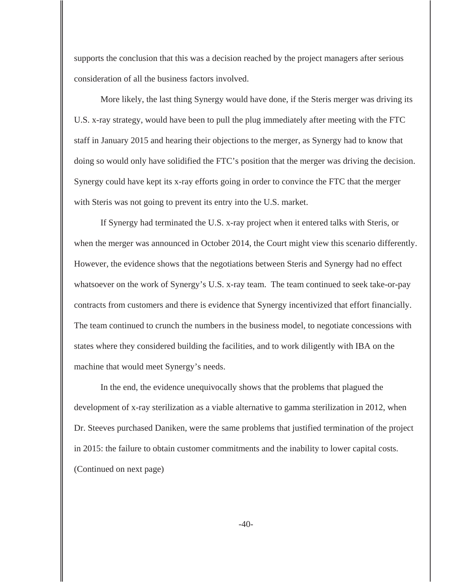supports the conclusion that this was a decision reached by the project managers after serious consideration of all the business factors involved.

More likely, the last thing Synergy would have done, if the Steris merger was driving its U.S. x-ray strategy, would have been to pull the plug immediately after meeting with the FTC staff in January 2015 and hearing their objections to the merger, as Synergy had to know that doing so would only have solidified the FTC's position that the merger was driving the decision. Synergy could have kept its x-ray efforts going in order to convince the FTC that the merger with Steris was not going to prevent its entry into the U.S. market.

If Synergy had terminated the U.S. x-ray project when it entered talks with Steris, or when the merger was announced in October 2014, the Court might view this scenario differently. However, the evidence shows that the negotiations between Steris and Synergy had no effect whatsoever on the work of Synergy's U.S. x-ray team. The team continued to seek take-or-pay contracts from customers and there is evidence that Synergy incentivized that effort financially. The team continued to crunch the numbers in the business model, to negotiate concessions with states where they considered building the facilities, and to work diligently with IBA on the machine that would meet Synergy's needs.

In the end, the evidence unequivocally shows that the problems that plagued the development of x-ray sterilization as a viable alternative to gamma sterilization in 2012, when Dr. Steeves purchased Daniken, were the same problems that justified termination of the project in 2015: the failure to obtain customer commitments and the inability to lower capital costs. (Continued on next page)